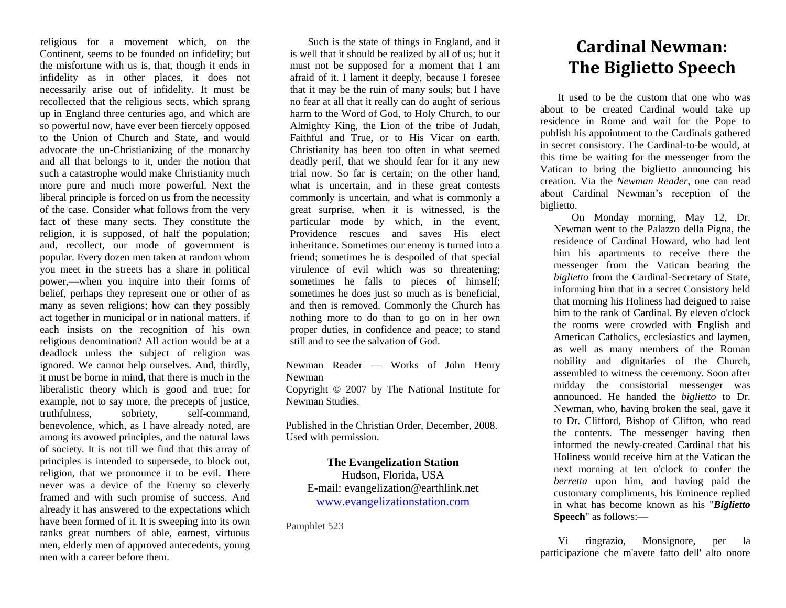religious for a movement which, on the Continent, seems to be founded on infidelity; but the misfortune with us is, that, though it ends in infidelity as in other places, it does not necessarily arise out of infidelity. It must be recollected that the religious sects, which sprang up in England three centuries ago, and which are so powerful now, have ever been fiercely opposed to the Union of Church and State, and would advocate the un-Christianizing of the monarchy and all that belongs to it, under the notion that such a catastrophe would make Christianity much more pure and much more powerful. Next the liberal principle is forced on us from the necessity of the case. Consider what follows from the very fact of these many sects. They constitute the religion, it is supposed, of half the population; and, recollect, our mode of government is popular. Every dozen men taken at random whom you meet in the streets has a share in political power,—when you inquire into their forms of belief, perhaps they represent one or other of as many as seven religions; how can they possibly act together in municipal or in national matters, if each insists on the recognition of his own religious denomination? All action would be at a deadlock unless the subject of religion was ignored. We cannot help ourselves. And, thirdly, it must be borne in mind, that there is much in the liberalistic theory which is good and true; for example, not to say more, the precepts of justice, truthfulness, sobriety, self-command, benevolence, which, as I have already noted, are among its avowed principles, and the natural laws of society. It is not till we find that this array of principles is intended to supersede, to block out, religion, that we pronounce it to be evil. There never was a device of the Enemy so cleverly framed and with such promise of success. And already it has answered to the expectations which have been formed of it. It is sweeping into its own ranks great numbers of able, earnest, virtuous men, elderly men of approved antecedents, young men with a career before them.

Such is the state of things in England, and it is well that it should be realized by all of us; but it must not be supposed for a moment that I am afraid of it. I lament it deeply, because I foresee that it may be the ruin of many souls; but I have no fear at all that it really can do aught of serious harm to the Word of God, to Holy Church, to our Almighty King, the Lion of the tribe of Judah, Faithful and True, or to His Vicar on earth. Christianity has been too often in what seemed deadly peril, that we should fear for it any new trial now. So far is certain; on the other hand, what is uncertain, and in these great contests commonly is uncertain, and what is commonly a great surprise, when it is witnessed, is the particular mode by which, in the event, Providence rescues and saves His elect inheritance. Sometimes our enemy is turned into a friend; sometimes he is despoiled of that special virulence of evil which was so threatening; sometimes he falls to pieces of himself; sometimes he does just so much as is beneficial, and then is removed. Commonly the Church has nothing more to do than to go on in her own proper duties, in confidence and peace; to stand still and to see the salvation of God.

Newman Reader — Works of John Henry Newman

Copyright © 2007 by The National Institute for Newman Studies.

Published in the Christian Order, December, 2008. Used with permission.

## **The Evangelization Station** Hudson, Florida, USA E-mail: evangelization@earthlink.net [www.evangelizationstation.com](http://www.pjpiisoe.org/)

Pamphlet 523

## **Cardinal Newman: The Biglietto Speech**

It used to be the custom that one who was about to be created Cardinal would take up residence in Rome and wait for the Pope to publish his appointment to the Cardinals gathered in secret consistory. The Cardinal-to-be would, at this time be waiting for the messenger from the Vatican to bring the biglietto announcing his creation. Via the *Newman Reader*, one can read about Cardinal Newman's reception of the biglietto.

On Monday morning, May 12, Dr. Newman went to the Palazzo della Pigna, the residence of Cardinal Howard, who had lent him his apartments to receive there the messenger from the Vatican bearing the *biglietto* from the Cardinal-Secretary of State, informing him that in a secret Consistory held that morning his Holiness had deigned to raise him to the rank of Cardinal. By eleven o'clock the rooms were crowded with English and American Catholics, ecclesiastics and laymen, as well as many members of the Roman nobility and dignitaries of the Church, assembled to witness the ceremony. Soon after midday the consistorial messenger was announced. He handed the *biglietto* to Dr. Newman, who, having broken the seal, gave it to Dr. Clifford, Bishop of Clifton, who read the contents. The messenger having then informed the newly-created Cardinal that his Holiness would receive him at the Vatican the next morning at ten o'clock to confer the *berretta* upon him, and having paid the customary compliments, his Eminence replied in what has become known as his "*Biglietto* **Speech**" as follows:—

Vi ringrazio, Monsignore, per la participazione che m'avete fatto dell' alto onore